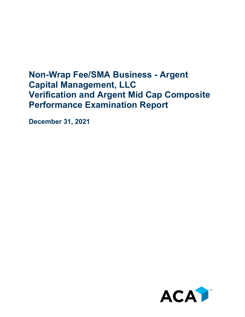## **Non-Wrap Fee/SMA Business - Argent Capital Management, LLC Verification and Argent Mid Cap Composite Performance Examination Report**

**December 31, 2021**

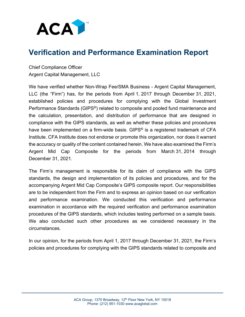

## **Verification and Performance Examination Report**

Chief Compliance Officer Argent Capital Management, LLC

We have verified whether Non-Wrap Fee/SMA Business - Argent Capital Management, LLC (the "Firm") has, for the periods from April 1, 2017 through December 31, 2021, established policies and procedures for complying with the Global Investment Performance Standards (GIPS®) related to composite and pooled fund maintenance and the calculation, presentation, and distribution of performance that are designed in compliance with the GIPS standards, as well as whether these policies and procedures have been implemented on a firm-wide basis. GIPS<sup>®</sup> is a registered trademark of CFA Institute. CFA Institute does not endorse or promote this organization, nor does it warrant the accuracy or quality of the content contained herein. We have also examined the Firm's Argent Mid Cap Composite for the periods from March 31, 2014 through December 31, 2021.

The Firm's management is responsible for its claim of compliance with the GIPS standards, the design and implementation of its policies and procedures, and for the accompanying Argent Mid Cap Composite's GIPS composite report. Our responsibilities are to be independent from the Firm and to express an opinion based on our verification and performance examination. We conducted this verification and performance examination in accordance with the required verification and performance examination procedures of the GIPS standards, which includes testing performed on a sample basis. We also conducted such other procedures as we considered necessary in the circumstances.

In our opinion, for the periods from April 1, 2017 through December 31, 2021, the Firm's policies and procedures for complying with the GIPS standards related to composite and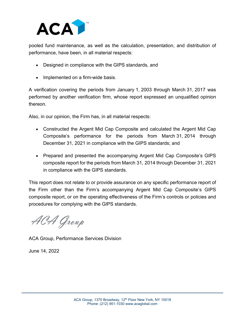

pooled fund maintenance, as well as the calculation, presentation, and distribution of performance, have been, in all material respects:

- Designed in compliance with the GIPS standards, and
- Implemented on a firm-wide basis.

A verification covering the periods from January 1, 2003 through March 31, 2017 was performed by another verification firm, whose report expressed an unqualified opinion thereon.

Also, in our opinion, the Firm has, in all material respects:

- Constructed the Argent Mid Cap Composite and calculated the Argent Mid Cap Composite's performance for the periods from March 31, 2014 through December 31, 2021 in compliance with the GIPS standards; and
- Prepared and presented the accompanying Argent Mid Cap Composite's GIPS composite report for the periods from March 31, 2014 through December 31, 2021 in compliance with the GIPS standards.

This report does not relate to or provide assurance on any specific performance report of the Firm other than the Firm's accompanying Argent Mid Cap Composite's GIPS composite report, or on the operating effectiveness of the Firm's controls or policies and procedures for complying with the GIPS standards.

ACA Group

ACA Group, Performance Services Division

June 14, 2022